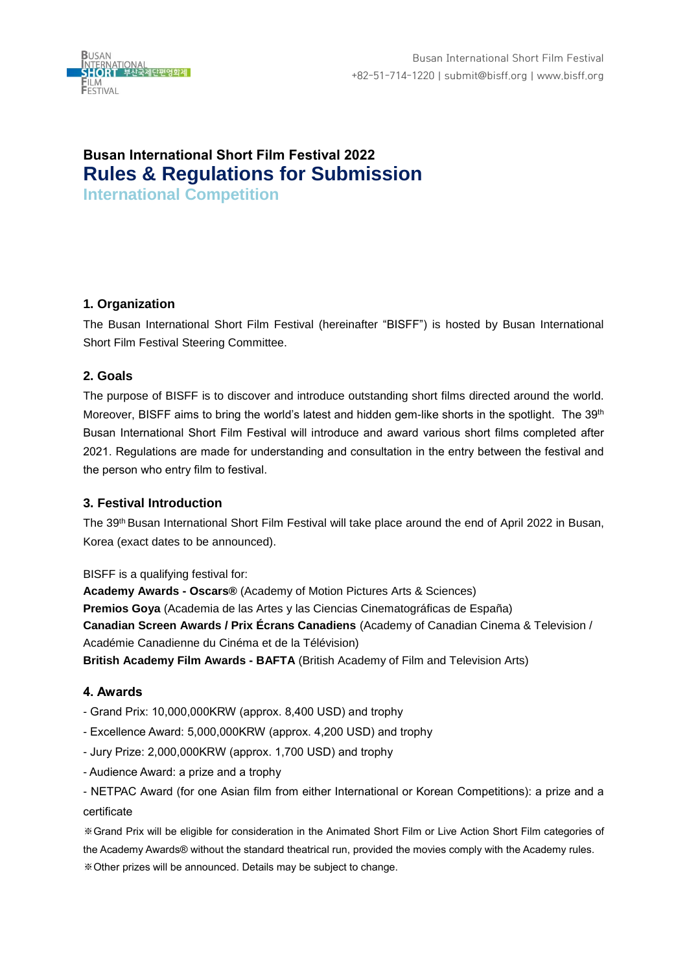

# **Busan International Short Film Festival 2022 Rules & Regulations for Submission**

**International Competition**

# **1. Organization**

The Busan International Short Film Festival (hereinafter "BISFF") is hosted by Busan International Short Film Festival Steering Committee.

# **2. Goals**

The purpose of BISFF is to discover and introduce outstanding short films directed around the world. Moreover, BISFF aims to bring the world's latest and hidden gem-like shorts in the spotlight. The 39<sup>th</sup> Busan International Short Film Festival will introduce and award various short films completed after 2021. Regulations are made for understanding and consultation in the entry between the festival and the person who entry film to festival.

# **3. Festival Introduction**

The 39th Busan International Short Film Festival will take place around the end of April 2022 in Busan, Korea (exact dates to be announced).

BISFF is a qualifying festival for:

**Academy Awards - Oscars®** (Academy of Motion Pictures Arts & Sciences) **Premios Goya** (Academia de las Artes y las Ciencias Cinematográficas de España) **Canadian Screen Awards / Prix Écrans Canadiens** (Academy of Canadian Cinema & Television / Académie Canadienne du Cinéma et de la Télévision) **British Academy Film Awards - BAFTA** (British Academy of Film and Television Arts)

# **4. Awards**

- Grand Prix: 10,000,000KRW (approx. 8,400 USD) and trophy
- Excellence Award: 5,000,000KRW (approx. 4,200 USD) and trophy
- Jury Prize: 2,000,000KRW (approx. 1,700 USD) and trophy
- Audience Award: a prize and a trophy

- NETPAC Award (for one Asian film from either International or Korean Competitions): a prize and a certificate

※Grand Prix will be eligible for consideration in the Animated Short Film or Live Action Short Film categories of the Academy Awards® without the standard theatrical run, provided the movies comply with the Academy rules. ※Other prizes will be announced. Details may be subject to change.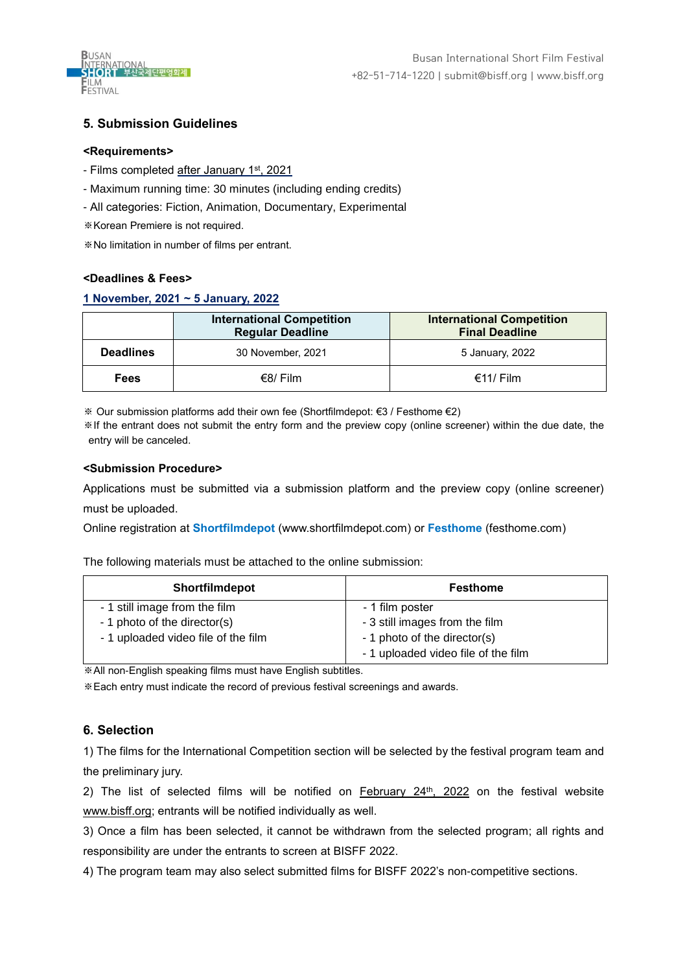

# **5. Submission Guidelines**

#### **<Requirements>**

- Films completed <u>after January 1st, 2021</u>
- Maximum running time: 30 minutes (including ending credits)
- All categories: Fiction, Animation, Documentary, Experimental
- ※Korean Premiere is not required.

※No limitation in number of films per entrant.

## **<Deadlines & Fees>**

## **1 November, 2021 ~ 5 January, 2022**

|                  | <b>International Competition</b><br><b>Regular Deadline</b> | <b>International Competition</b><br><b>Final Deadline</b> |
|------------------|-------------------------------------------------------------|-----------------------------------------------------------|
| <b>Deadlines</b> | 30 November, 2021                                           | 5 January, 2022                                           |
| <b>Fees</b>      | $€8/$ Film                                                  | $€11/$ Film                                               |

※ Our submission platforms add their own fee (Shortfilmdepot: €3 / Festhome €2)

※If the entrant does not submit the entry form and the preview copy (online screener) within the due date, the entry will be canceled.

#### **<Submission Procedure>**

Applications must be submitted via a submission platform and the preview copy (online screener) must be uploaded.

Online registration at **Shortfilmdepot** [\(www.shortfilmdepot.com\)](http://www.shortfilmdepot.com/) or **Festhome** (festhome.com)

The following materials must be attached to the online submission:

| <b>Shortfilmdepot</b>               | Festhome                            |
|-------------------------------------|-------------------------------------|
| - 1 still image from the film       | - 1 film poster                     |
| - 1 photo of the director(s)        | - 3 still images from the film      |
| - 1 uploaded video file of the film | - 1 photo of the director(s)        |
|                                     | - 1 uploaded video file of the film |

※All non-English speaking films must have English subtitles.

※Each entry must indicate the record of previous festival screenings and awards.

## **6. Selection**

1) The films for the International Competition section will be selected by the festival program team and the preliminary jury.

2) The list of selected films will be notified on <u>February 24<sup>th</sup>, 2022</u> on the festival website [www.bisff.org;](http://www.bisff.org/) entrants will be notified individually as well.

3) Once a film has been selected, it cannot be withdrawn from the selected program; all rights and responsibility are under the entrants to screen at BISFF 2022.

4) The program team may also select submitted films for BISFF 2022's non-competitive sections.